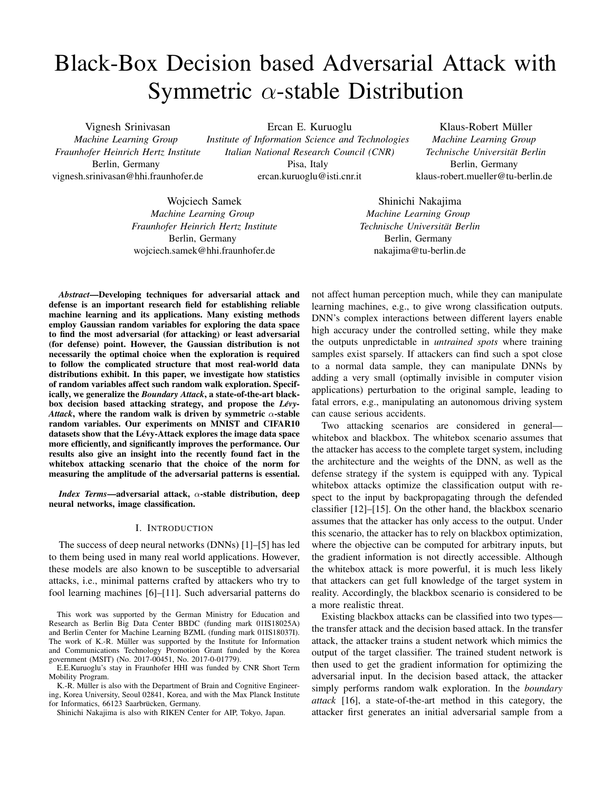# Black-Box Decision based Adversarial Attack with Symmetric  $\alpha$ -stable Distribution

Vignesh Srinivasan *Machine Learning Group Fraunhofer Heinrich Hertz Institute* Berlin, Germany vignesh.srinivasan@hhi.fraunhofer.de Ercan E. Kuruoglu

*Institute of Information Science and Technologies Italian National Research Council (CNR)* Pisa, Italy ercan.kuruoglu@isti.cnr.it

Klaus-Robert Müller *Machine Learning Group Technische Universitat Berlin ¨* Berlin, Germany klaus-robert.mueller@tu-berlin.de

Wojciech Samek *Machine Learning Group Fraunhofer Heinrich Hertz Institute* Berlin, Germany wojciech.samek@hhi.fraunhofer.de

Shinichi Nakajima *Machine Learning Group Technische Universitat Berlin ¨* Berlin, Germany nakajima@tu-berlin.de

*Abstract*—Developing techniques for adversarial attack and defense is an important research field for establishing reliable machine learning and its applications. Many existing methods employ Gaussian random variables for exploring the data space to find the most adversarial (for attacking) or least adversarial (for defense) point. However, the Gaussian distribution is not necessarily the optimal choice when the exploration is required to follow the complicated structure that most real-world data distributions exhibit. In this paper, we investigate how statistics of random variables affect such random walk exploration. Specifically, we generalize the *Boundary Attack*, a state-of-the-art blackbox decision based attacking strategy, and propose the *Levy- ´ Attack*, where the random walk is driven by symmetric  $\alpha$ -stable random variables. Our experiments on MNIST and CIFAR10 datasets show that the Lévy-Attack explores the image data space more efficiently, and significantly improves the performance. Our results also give an insight into the recently found fact in the whitebox attacking scenario that the choice of the norm for measuring the amplitude of the adversarial patterns is essential.

*Index Terms*—adversarial attack, α-stable distribution, deep neural networks, image classification.

## I. INTRODUCTION

The success of deep neural networks (DNNs) [1]–[5] has led to them being used in many real world applications. However, these models are also known to be susceptible to adversarial attacks, i.e., minimal patterns crafted by attackers who try to fool learning machines [6]–[11]. Such adversarial patterns do

This work was supported by the German Ministry for Education and Research as Berlin Big Data Center BBDC (funding mark 01IS18025A) and Berlin Center for Machine Learning BZML (funding mark 01IS18037I). The work of K.-R. Müller was supported by the Institute for Information and Communications Technology Promotion Grant funded by the Korea government (MSIT) (No. 2017-00451, No. 2017-0-01779).

E.E.Kuruoglu's stay in Fraunhofer HHI was funded by CNR Short Term Mobility Program.

K.-R. Müller is also with the Department of Brain and Cognitive Engineering, Korea University, Seoul 02841, Korea, and with the Max Planck Institute for Informatics, 66123 Saarbrücken, Germany.

Shinichi Nakajima is also with RIKEN Center for AIP, Tokyo, Japan.

not affect human perception much, while they can manipulate learning machines, e.g., to give wrong classification outputs. DNN's complex interactions between different layers enable high accuracy under the controlled setting, while they make the outputs unpredictable in *untrained spots* where training samples exist sparsely. If attackers can find such a spot close to a normal data sample, they can manipulate DNNs by adding a very small (optimally invisible in computer vision applications) perturbation to the original sample, leading to fatal errors, e.g., manipulating an autonomous driving system can cause serious accidents.

Two attacking scenarios are considered in general whitebox and blackbox. The whitebox scenario assumes that the attacker has access to the complete target system, including the architecture and the weights of the DNN, as well as the defense strategy if the system is equipped with any. Typical whitebox attacks optimize the classification output with respect to the input by backpropagating through the defended classifier [12]–[15]. On the other hand, the blackbox scenario assumes that the attacker has only access to the output. Under this scenario, the attacker has to rely on blackbox optimization, where the objective can be computed for arbitrary inputs, but the gradient information is not directly accessible. Although the whitebox attack is more powerful, it is much less likely that attackers can get full knowledge of the target system in reality. Accordingly, the blackbox scenario is considered to be a more realistic threat.

Existing blackbox attacks can be classified into two types the transfer attack and the decision based attack. In the transfer attack, the attacker trains a student network which mimics the output of the target classifier. The trained student network is then used to get the gradient information for optimizing the adversarial input. In the decision based attack, the attacker simply performs random walk exploration. In the *boundary attack* [16], a state-of-the-art method in this category, the attacker first generates an initial adversarial sample from a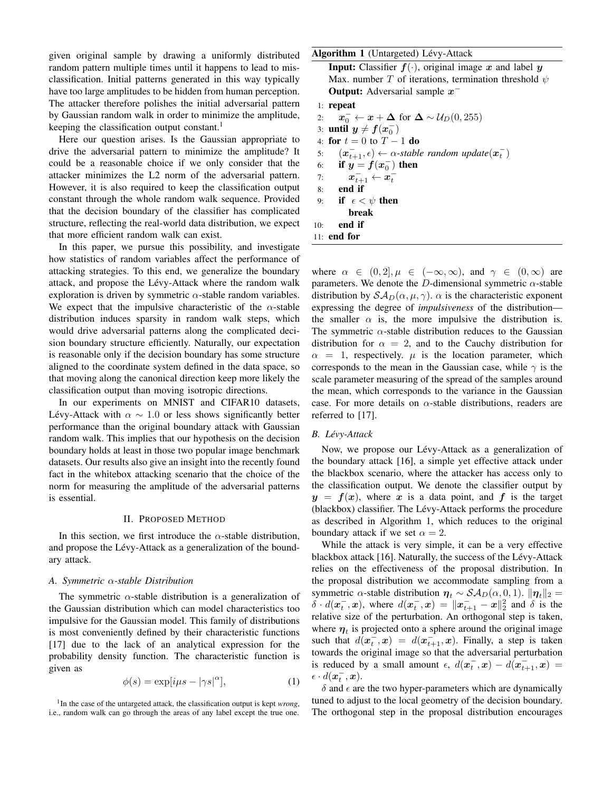given original sample by drawing a uniformly distributed random pattern multiple times until it happens to lead to misclassification. Initial patterns generated in this way typically have too large amplitudes to be hidden from human perception. The attacker therefore polishes the initial adversarial pattern by Gaussian random walk in order to minimize the amplitude, keeping the classification output constant.<sup>1</sup>

Here our question arises. Is the Gaussian appropriate to drive the adversarial pattern to minimize the amplitude? It could be a reasonable choice if we only consider that the attacker minimizes the L2 norm of the adversarial pattern. However, it is also required to keep the classification output constant through the whole random walk sequence. Provided that the decision boundary of the classifier has complicated structure, reflecting the real-world data distribution, we expect that more efficient random walk can exist.

In this paper, we pursue this possibility, and investigate how statistics of random variables affect the performance of attacking strategies. To this end, we generalize the boundary attack, and propose the Lévy-Attack where the random walk exploration is driven by symmetric  $\alpha$ -stable random variables. We expect that the impulsive characteristic of the  $\alpha$ -stable distribution induces sparsity in random walk steps, which would drive adversarial patterns along the complicated decision boundary structure efficiently. Naturally, our expectation is reasonable only if the decision boundary has some structure aligned to the coordinate system defined in the data space, so that moving along the canonical direction keep more likely the classification output than moving isotropic directions.

In our experiments on MNIST and CIFAR10 datasets, Lévy-Attack with  $\alpha \sim 1.0$  or less shows significantly better performance than the original boundary attack with Gaussian random walk. This implies that our hypothesis on the decision boundary holds at least in those two popular image benchmark datasets. Our results also give an insight into the recently found fact in the whitebox attacking scenario that the choice of the norm for measuring the amplitude of the adversarial patterns is essential.

#### II. PROPOSED METHOD

In this section, we first introduce the  $\alpha$ -stable distribution, and propose the Lévy-Attack as a generalization of the boundary attack.

# *A. Symmetric* α*-stable Distribution*

The symmetric  $\alpha$ -stable distribution is a generalization of the Gaussian distribution which can model characteristics too impulsive for the Gaussian model. This family of distributions is most conveniently defined by their characteristic functions [17] due to the lack of an analytical expression for the probability density function. The characteristic function is given as

$$
\phi(s) = \exp[i\mu s - |\gamma s|^\alpha],\tag{1}
$$

```
<sup>1</sup>In the case of the untargeted attack, the classification output is kept wrong,
i.e., random walk can go through the areas of any label except the true one.
```
## Algorithm 1 (Untargeted) Lévy-Attack

**Input:** Classifier  $f(\cdot)$ , original image x and label y Max. number T of iterations, termination threshold  $\psi$ Output: Adversarial sample  $x^-$ 

```
1: repeat
```

```
2: x_0^- \leftarrow x + \Delta for \Delta \sim \mathcal{U}_D(0, 255)3: until y \neq f(x_0^-)4: for t = 0 to T - 1 do
 5: (x_{t+1}^-, \epsilon) \leftarrow \alpha-stable random update(x_t^+)6: if y = f(x_0^-) then
 7: \boldsymbol{x}_{t+1}^- \leftarrow \boldsymbol{x}_t^-8: end if
 9: if \epsilon < \psi then
           break
10: end if
11: end for
```
where  $\alpha \in (0, 2], \mu \in (-\infty, \infty)$ , and  $\gamma \in (0, \infty)$  are parameters. We denote the D-dimensional symmetric  $\alpha$ -stable distribution by  $\mathcal{SA}_D(\alpha,\mu,\gamma)$ .  $\alpha$  is the characteristic exponent expressing the degree of *impulsiveness* of the distribution the smaller  $\alpha$  is, the more impulsive the distribution is. The symmetric  $\alpha$ -stable distribution reduces to the Gaussian distribution for  $\alpha = 2$ , and to the Cauchy distribution for  $\alpha = 1$ , respectively.  $\mu$  is the location parameter, which corresponds to the mean in the Gaussian case, while  $\gamma$  is the scale parameter measuring of the spread of the samples around the mean, which corresponds to the variance in the Gaussian case. For more details on  $\alpha$ -stable distributions, readers are referred to [17].

## *B. Levy-Attack ´*

Now, we propose our Lévy-Attack as a generalization of the boundary attack [16], a simple yet effective attack under the blackbox scenario, where the attacker has access only to the classification output. We denote the classifier output by  $y = f(x)$ , where x is a data point, and f is the target (blackbox) classifier. The Lévy-Attack performs the procedure as described in Algorithm 1, which reduces to the original boundary attack if we set  $\alpha = 2$ .

While the attack is very simple, it can be a very effective blackbox attack [16]. Naturally, the success of the Lévy-Attack relies on the effectiveness of the proposal distribution. In the proposal distribution we accommodate sampling from a symmetric  $\alpha$ -stable distribution  $\eta_t \sim \mathcal{S} \mathcal{A}_D(\alpha, 0, 1)$ .  $\|\eta_t\|_2 =$  $\delta \cdot d(\mathbf{x}_t^-, \mathbf{x})$ , where  $d(\mathbf{x}_t^-, \mathbf{x}) = ||\mathbf{x}_{t+1}^- - \mathbf{x}||_2^2$  and  $\delta$  is the relative size of the perturbation. An orthogonal step is taken, where  $\eta_t$  is projected onto a sphere around the original image such that  $d(\mathbf{x}_t^-, \mathbf{x}) = d(\mathbf{x}_{t+1}^-, \mathbf{x})$ . Finally, a step is taken towards the original image so that the adversarial perturbation is reduced by a small amount  $\epsilon$ ,  $d(\mathbf{x}_t^-, \mathbf{x}) - d(\mathbf{x}_{t+1}^-, \mathbf{x}) =$  $\epsilon \cdot d(\boldsymbol{x}_t^{-}, \boldsymbol{x}).$ 

 $\delta$  and  $\epsilon$  are the two hyper-parameters which are dynamically tuned to adjust to the local geometry of the decision boundary. The orthogonal step in the proposal distribution encourages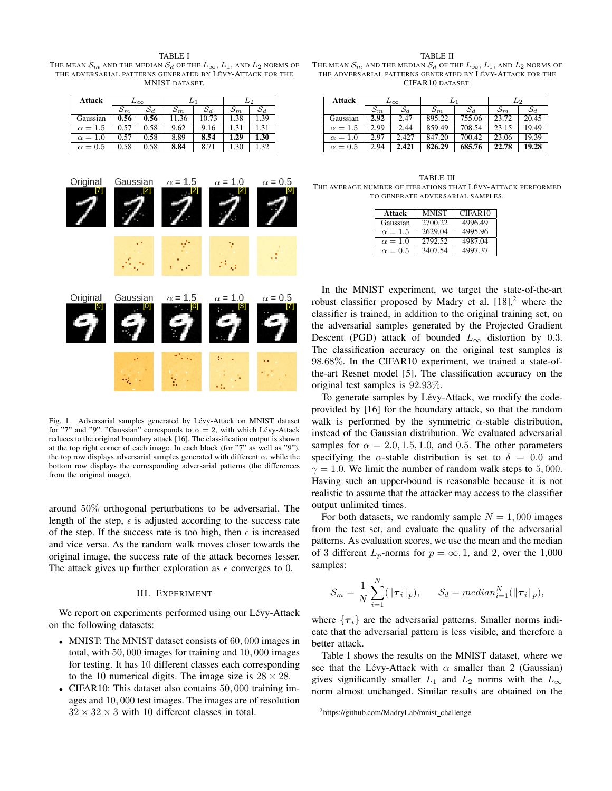TABLE I

THE MEAN  $\mathcal{S}_m$  and the median  $\mathcal{S}_d$  of the  $L_\infty$ ,  $L_1$ , and  $L_2$  norms of THE ADVERSARIAL PATTERNS GENERATED BY LÉVY-ATTACK FOR THE MNIST DATASET.

| $L_{\infty}$ |       | $L_1$           |                 | L2              |                 |
|--------------|-------|-----------------|-----------------|-----------------|-----------------|
| $S_m$        | $S_d$ | $\mathcal{S}_m$ | $\mathcal{S}_d$ | $\mathcal{S}_m$ | $\mathcal{S}_d$ |
| 0.56         | 0.56  | 11.36           | 10.73           | 1.38            | 1.39            |
| 0.57         | 0.58  | 9.62            | 9.16            | 1.31            | 1.31            |
| 0.57         | 0.58  | 8.89            | 8.54            | 1.29            | 1.30            |
| 0.58         | 0.58  | 8.84            | 8.71            | 1.30            | 1.32            |
|              |       |                 |                 |                 |                 |



Fig. 1. Adversarial samples generated by Lévy-Attack on MNIST dataset for "7" and "9". "Gaussian" corresponds to  $\alpha = 2$ , with which Lévy-Attack reduces to the original boundary attack [16]. The classification output is shown at the top right corner of each image. In each block (for "7" as well as "9"), the top row displays adversarial samples generated with different  $\alpha$ , while the bottom row displays the corresponding adversarial patterns (the differences from the original image).

around 50% orthogonal perturbations to be adversarial. The length of the step,  $\epsilon$  is adjusted according to the success rate of the step. If the success rate is too high, then  $\epsilon$  is increased and vice versa. As the random walk moves closer towards the original image, the success rate of the attack becomes lesser. The attack gives up further exploration as  $\epsilon$  converges to 0.

## III. EXPERIMENT

We report on experiments performed using our Lévy-Attack on the following datasets:

- MNIST: The MNIST dataset consists of 60,000 images in total, with 50, 000 images for training and 10, 000 images for testing. It has 10 different classes each corresponding to the 10 numerical digits. The image size is  $28 \times 28$ .
- CIFAR10: This dataset also contains 50,000 training images and 10, 000 test images. The images are of resolution  $32 \times 32 \times 3$  with 10 different classes in total.

TABLE II

THE MEAN  $\mathcal{S}_m$  and the median  $\mathcal{S}_d$  of the  $L_\infty$ ,  $L_1$ , and  $L_2$  norms of THE ADVERSARIAL PATTERNS GENERATED BY LÉVY-ATTACK FOR THE CIFAR10 DATASET.

| Attack         | $L_{\infty}$    |                 | $L_1$           |                 | L2    |                 |
|----------------|-----------------|-----------------|-----------------|-----------------|-------|-----------------|
|                | $\mathcal{S}_m$ | $\mathcal{S}_d$ | $\mathcal{S}_m$ | $\mathcal{S}_d$ | $S_m$ | $\mathcal{S}_d$ |
| Gaussian       | 2.92            | 2.47            | 895.22          | 755.06          | 23.72 | 20.45           |
| $\alpha = 1.5$ | 2.99            | 2.44            | 859.49          | 708.54          | 23.15 | 19.49           |
| $\alpha = 1.0$ | 2.97            | 2.427           | 847.20          | 700.42          | 23.06 | 19.39           |
| $\alpha = 0.5$ | 2.94            | 2.421           | 826.29          | 685.76          | 22.78 | 19.28           |

TABLE III THE AVERAGE NUMBER OF ITERATIONS THAT LÉVY-ATTACK PERFORMED TO GENERATE ADVERSARIAL SAMPLES.

| Attack         | <b>MNIST</b> | CIFAR <sub>10</sub> |
|----------------|--------------|---------------------|
| Gaussian       | 2700.22      | 4996.49             |
| $\alpha = 1.5$ | 2629.04      | 4995.96             |
| $\alpha = 1.0$ | 2792.52      | 4987.04             |
| $\alpha = 0.5$ | 3407.54      | 4997.37             |

In the MNIST experiment, we target the state-of-the-art robust classifier proposed by Madry et al.  $[18]$ <sup>2</sup> where the classifier is trained, in addition to the original training set, on the adversarial samples generated by the Projected Gradient Descent (PGD) attack of bounded  $L_{\infty}$  distortion by 0.3. The classification accuracy on the original test samples is 98.68%. In the CIFAR10 experiment, we trained a state-ofthe-art Resnet model [5]. The classification accuracy on the original test samples is 92.93%.

To generate samples by Lévy-Attack, we modify the codeprovided by [16] for the boundary attack, so that the random walk is performed by the symmetric  $\alpha$ -stable distribution, instead of the Gaussian distribution. We evaluated adversarial samples for  $\alpha = 2.0, 1.5, 1.0,$  and 0.5. The other parameters specifying the  $\alpha$ -stable distribution is set to  $\delta = 0.0$  and  $\gamma = 1.0$ . We limit the number of random walk steps to 5,000. Having such an upper-bound is reasonable because it is not realistic to assume that the attacker may access to the classifier output unlimited times.

For both datasets, we randomly sample  $N = 1,000$  images from the test set, and evaluate the quality of the adversarial patterns. As evaluation scores, we use the mean and the median of 3 different  $L_p$ -norms for  $p = \infty, 1$ , and 2, over the 1,000 samples:

$$
\mathcal{S}_m = \frac{1}{N} \sum_{i=1}^N (\|\boldsymbol{\tau}_i\|_p), \qquad \mathcal{S}_d = \text{median}_{i=1}^N (\|\boldsymbol{\tau}_i\|_p),
$$

where  $\{\tau_i\}$  are the adversarial patterns. Smaller norms indicate that the adversarial pattern is less visible, and therefore a better attack.

Table I shows the results on the MNIST dataset, where we see that the Lévy-Attack with  $\alpha$  smaller than 2 (Gaussian) gives significantly smaller  $L_1$  and  $L_2$  norms with the  $L_{\infty}$ norm almost unchanged. Similar results are obtained on the

<sup>2</sup>https://github.com/MadryLab/mnist challenge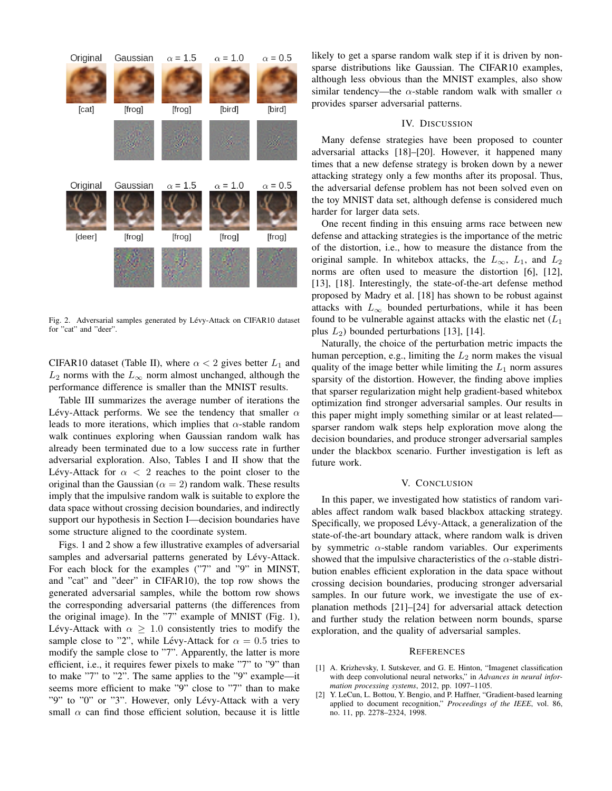

Fig. 2. Adversarial samples generated by Lévy-Attack on CIFAR10 dataset for "cat" and "deer".

CIFAR10 dataset (Table II), where  $\alpha < 2$  gives better  $L_1$  and  $L_2$  norms with the  $L_{\infty}$  norm almost unchanged, although the performance difference is smaller than the MNIST results.

Table III summarizes the average number of iterations the Lévy-Attack performs. We see the tendency that smaller  $\alpha$ leads to more iterations, which implies that  $\alpha$ -stable random walk continues exploring when Gaussian random walk has already been terminated due to a low success rate in further adversarial exploration. Also, Tables I and II show that the Lévy-Attack for  $\alpha < 2$  reaches to the point closer to the original than the Gaussian ( $\alpha = 2$ ) random walk. These results imply that the impulsive random walk is suitable to explore the data space without crossing decision boundaries, and indirectly support our hypothesis in Section I—decision boundaries have some structure aligned to the coordinate system.

Figs. 1 and 2 show a few illustrative examples of adversarial samples and adversarial patterns generated by Lévy-Attack. For each block for the examples ("7" and "9" in MINST, and "cat" and "deer" in CIFAR10), the top row shows the generated adversarial samples, while the bottom row shows the corresponding adversarial patterns (the differences from the original image). In the "7" example of MNIST (Fig. 1), Lévy-Attack with  $\alpha \geq 1.0$  consistently tries to modify the sample close to "2", while Lévy-Attack for  $\alpha = 0.5$  tries to modify the sample close to "7". Apparently, the latter is more efficient, i.e., it requires fewer pixels to make "7" to "9" than to make "7" to "2". The same applies to the "9" example—it seems more efficient to make "9" close to "7" than to make "9" to "0" or "3". However, only Lévy-Attack with a very small  $\alpha$  can find those efficient solution, because it is little likely to get a sparse random walk step if it is driven by nonsparse distributions like Gaussian. The CIFAR10 examples, although less obvious than the MNIST examples, also show similar tendency—the  $\alpha$ -stable random walk with smaller  $\alpha$ provides sparser adversarial patterns.

## IV. DISCUSSION

Many defense strategies have been proposed to counter adversarial attacks [18]–[20]. However, it happened many times that a new defense strategy is broken down by a newer attacking strategy only a few months after its proposal. Thus, the adversarial defense problem has not been solved even on the toy MNIST data set, although defense is considered much harder for larger data sets.

One recent finding in this ensuing arms race between new defense and attacking strategies is the importance of the metric of the distortion, i.e., how to measure the distance from the original sample. In whitebox attacks, the  $L_{\infty}$ ,  $L_1$ , and  $L_2$ norms are often used to measure the distortion [6], [12], [13], [18]. Interestingly, the state-of-the-art defense method proposed by Madry et al. [18] has shown to be robust against attacks with  $L_{\infty}$  bounded perturbations, while it has been found to be vulnerable against attacks with the elastic net  $(L_1)$ plus  $L_2$ ) bounded perturbations [13], [14].

Naturally, the choice of the perturbation metric impacts the human perception, e.g., limiting the  $L_2$  norm makes the visual quality of the image better while limiting the  $L_1$  norm assures sparsity of the distortion. However, the finding above implies that sparser regularization might help gradient-based whitebox optimization find stronger adversarial samples. Our results in this paper might imply something similar or at least related sparser random walk steps help exploration move along the decision boundaries, and produce stronger adversarial samples under the blackbox scenario. Further investigation is left as future work.

## V. CONCLUSION

In this paper, we investigated how statistics of random variables affect random walk based blackbox attacking strategy. Specifically, we proposed Lévy-Attack, a generalization of the state-of-the-art boundary attack, where random walk is driven by symmetric  $\alpha$ -stable random variables. Our experiments showed that the impulsive characteristics of the  $\alpha$ -stable distribution enables efficient exploration in the data space without crossing decision boundaries, producing stronger adversarial samples. In our future work, we investigate the use of explanation methods [21]–[24] for adversarial attack detection and further study the relation between norm bounds, sparse exploration, and the quality of adversarial samples.

#### **REFERENCES**

- [1] A. Krizhevsky, I. Sutskever, and G. E. Hinton, "Imagenet classification with deep convolutional neural networks," in *Advances in neural information processing systems*, 2012, pp. 1097–1105.
- [2] Y. LeCun, L. Bottou, Y. Bengio, and P. Haffner, "Gradient-based learning applied to document recognition," *Proceedings of the IEEE*, vol. 86, no. 11, pp. 2278–2324, 1998.